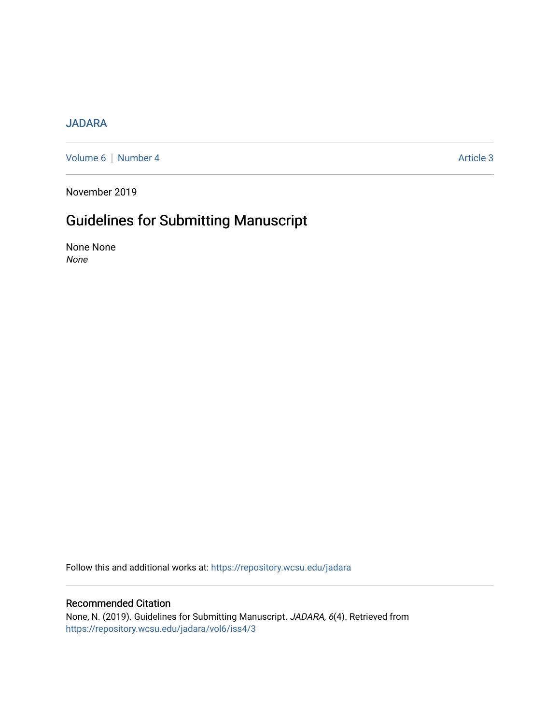## [JADARA](https://repository.wcsu.edu/jadara)

[Volume 6](https://repository.wcsu.edu/jadara/vol6) | [Number 4](https://repository.wcsu.edu/jadara/vol6/iss4) Article 3

November 2019

## Guidelines for Submitting Manuscript

None None None

Follow this and additional works at: [https://repository.wcsu.edu/jadara](https://repository.wcsu.edu/jadara?utm_source=repository.wcsu.edu%2Fjadara%2Fvol6%2Fiss4%2F3&utm_medium=PDF&utm_campaign=PDFCoverPages)

## Recommended Citation

None, N. (2019). Guidelines for Submitting Manuscript. JADARA, 6(4). Retrieved from [https://repository.wcsu.edu/jadara/vol6/iss4/3](https://repository.wcsu.edu/jadara/vol6/iss4/3?utm_source=repository.wcsu.edu%2Fjadara%2Fvol6%2Fiss4%2F3&utm_medium=PDF&utm_campaign=PDFCoverPages)